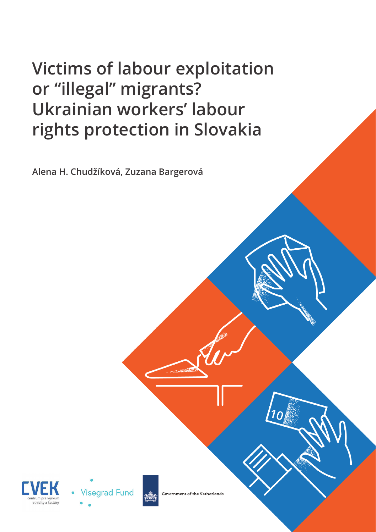### **Victims of labour exploitation or "illegal" migrants? Ukrainian workers' labour rights protection in Slovakia**

**Alena H. Chudžíková, Zuzana Bargerová**







Government of the Netherlands

 $1<sub>0</sub>$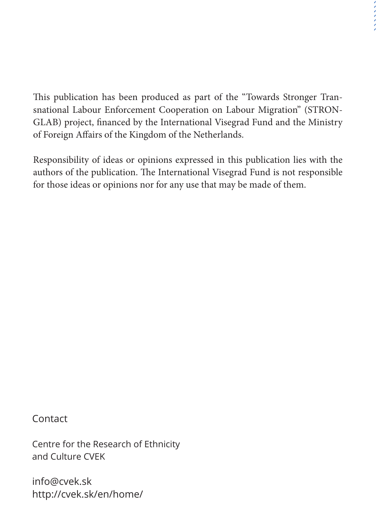This publication has been produced as part of the "Towards Stronger Transnational Labour Enforcement Cooperation on Labour Migration" (STRON-GLAB) project, financed by the International Visegrad Fund and the Ministry of Foreign Affairs of the Kingdom of the Netherlands.

Responsibility of ideas or opinions expressed in this publication lies with the authors of the publication. The International Visegrad Fund is not responsible for those ideas or opinions nor for any use that may be made of them.

Contact

Centre for the Research of Ethnicity and Culture CVEK

info@cvek.sk http://cvek.sk/en/home/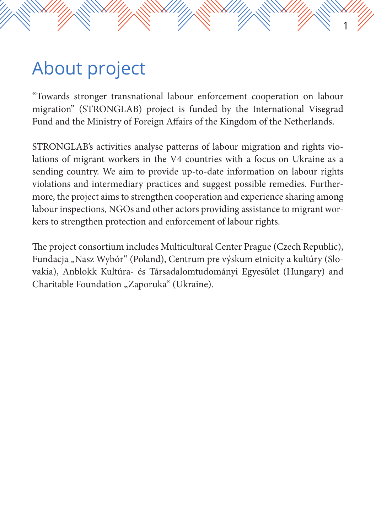# About project

"Towards stronger transnational labour enforcement cooperation on labour migration" (STRONGLAB) project is funded by the International Visegrad Fund and the Ministry of Foreign Affairs of the Kingdom of the Netherlands.

1

STRONGLAB's activities analyse patterns of labour migration and rights violations of migrant workers in the V4 countries with a focus on Ukraine as a sending country. We aim to provide up-to-date information on labour rights violations and intermediary practices and suggest possible remedies. Furthermore, the project aims to strengthen cooperation and experience sharing among labour inspections, NGOs and other actors providing assistance to migrant workers to strengthen protection and enforcement of labour rights.

The project consortium includes Multicultural Center Prague (Czech Republic), Fundacja "Nasz Wybór" (Poland), Centrum pre výskum etnicity a kultúry (Slovakia), Anblokk Kultúra- és Társadalomtudományi Egyesület (Hungary) and Charitable Foundation "Zaporuka" (Ukraine).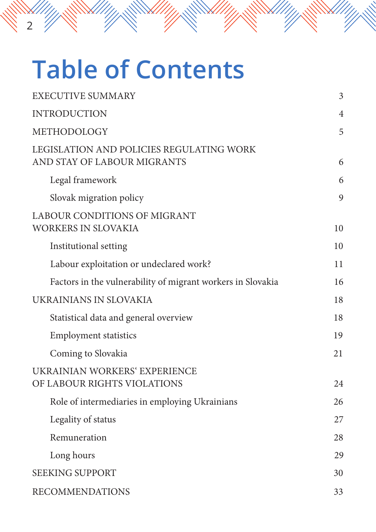# **Table of Contents**

2

| <b>EXECUTIVE SUMMARY</b>                                                | 3              |
|-------------------------------------------------------------------------|----------------|
| <b>INTRODUCTION</b>                                                     | $\overline{4}$ |
| METHODOLOGY                                                             | 5              |
| LEGISLATION AND POLICIES REGULATING WORK<br>AND STAY OF LABOUR MIGRANTS | 6              |
| Legal framework                                                         | 6              |
| Slovak migration policy                                                 | 9              |
| <b>LABOUR CONDITIONS OF MIGRANT</b><br>WORKERS IN SLOVAKIA              | 10             |
| Institutional setting                                                   | 10             |
| Labour exploitation or undeclared work?                                 | 11             |
| Factors in the vulnerability of migrant workers in Slovakia             | 16             |
| UKRAINIANS IN SLOVAKIA                                                  | 18             |
| Statistical data and general overview                                   | 18             |
| <b>Employment statistics</b>                                            | 19             |
| Coming to Slovakia                                                      | 21             |
| UKRAINIAN WORKERS' EXPERIENCE<br>OF LABOUR RIGHTS VIOLATIONS            | 24             |
| Role of intermediaries in employing Ukrainians                          | 26             |
| Legality of status                                                      | 27             |
| Remuneration                                                            | 28             |
| Long hours                                                              | 29             |
| <b>SEEKING SUPPORT</b>                                                  | 30             |
| <b>RECOMMENDATIONS</b>                                                  | 33             |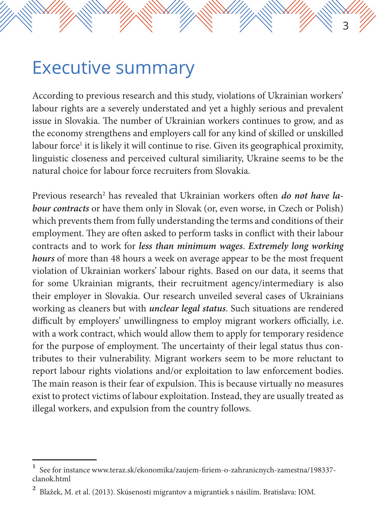### Executive summary

According to previous research and this study, violations of Ukrainian workers' labour rights are a severely understated and yet a highly serious and prevalent issue in Slovakia. The number of Ukrainian workers continues to grow, and as the economy strengthens and employers call for any kind of skilled or unskilled labour force<sup>1</sup> it is likely it will continue to rise. Given its geographical proximity, linguistic closeness and perceived cultural similiarity, Ukraine seems to be the natural choice for labour force recruiters from Slovakia.

3

Previous research<sup>2</sup> has revealed that Ukrainian workers often *do not have labour contracts* or have them only in Slovak (or, even worse, in Czech or Polish) which prevents them from fully understanding the terms and conditions of their employment. They are often asked to perform tasks in conflict with their labour contracts and to work for *less than minimum wages*. *Extremely long working hours* of more than 48 hours a week on average appear to be the most frequent violation of Ukrainian workers' labour rights. Based on our data, it seems that for some Ukrainian migrants, their recruitment agency/intermediary is also their employer in Slovakia. Our research unveiled several cases of Ukrainians working as cleaners but with *unclear legal status*. Such situations are rendered difficult by employers' unwillingness to employ migrant workers officially, i.e. with a work contract, which would allow them to apply for temporary residence for the purpose of employment. The uncertainty of their legal status thus contributes to their vulnerability. Migrant workers seem to be more reluctant to report labour rights violations and/or exploitation to law enforcement bodies. The main reason is their fear of expulsion. This is because virtually no measures exist to protect victims of labour exploitation. Instead, they are usually treated as illegal workers, and expulsion from the country follows.

<sup>1</sup> See for instance www.teraz.sk/ekonomika/zaujem-firiem-o-zahranicnych-zamestna/198337 clanok.html

<sup>2</sup> Blažek, M. et al. (2013). Skúsenosti migrantov a migrantiek s násilím. Bratislava: IOM.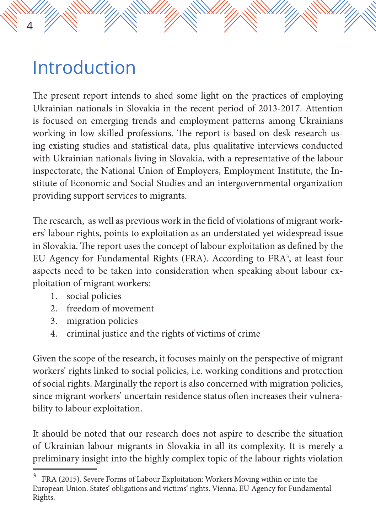## Introduction

4

The present report intends to shed some light on the practices of employing Ukrainian nationals in Slovakia in the recent period of 2013-2017. Attention is focused on emerging trends and employment patterns among Ukrainians working in low skilled professions. The report is based on desk research using existing studies and statistical data, plus qualitative interviews conducted with Ukrainian nationals living in Slovakia, with a representative of the labour inspectorate, the National Union of Employers, Employment Institute, the Institute of Economic and Social Studies and an intergovernmental organization providing support services to migrants.

The research, as well as previous work in the field of violations of migrant workers' labour rights, points to exploitation as an understated yet widespread issue in Slovakia. The report uses the concept of labour exploitation as defined by the EU Agency for Fundamental Rights (FRA). According to FRA3 , at least four aspects need to be taken into consideration when speaking about labour exploitation of migrant workers:

- 1. social policies
- 2. freedom of movement
- 3. migration policies
- 4. criminal justice and the rights of victims of crime

Given the scope of the research, it focuses mainly on the perspective of migrant workers' rights linked to social policies, i.e. working conditions and protection of social rights. Marginally the report is also concerned with migration policies, since migrant workers' uncertain residence status often increases their vulnerability to labour exploitation.

It should be noted that our research does not aspire to describe the situation of Ukrainian labour migrants in Slovakia in all its complexity. It is merely a preliminary insight into the highly complex topic of the labour rights violation

FRA (2015). Severe Forms of Labour Exploitation: Workers Moving within or into the European Union. States' obligations and victims' rights. Vienna; EU Agency for Fundamental Rights.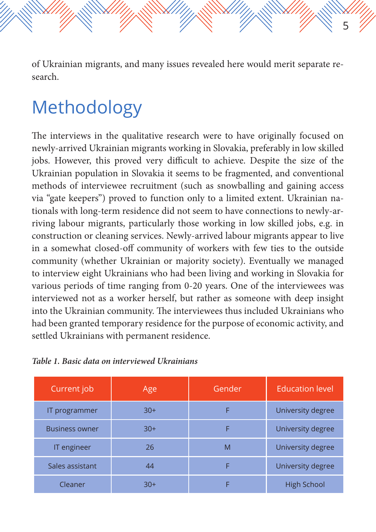of Ukrainian migrants, and many issues revealed here would merit separate research.

5

## Methodology

The interviews in the qualitative research were to have originally focused on newly-arrived Ukrainian migrants working in Slovakia, preferably in low skilled jobs. However, this proved very difficult to achieve. Despite the size of the Ukrainian population in Slovakia it seems to be fragmented, and conventional methods of interviewee recruitment (such as snowballing and gaining access via "gate keepers") proved to function only to a limited extent. Ukrainian nationals with long-term residence did not seem to have connections to newly-arriving labour migrants, particularly those working in low skilled jobs, e.g. in construction or cleaning services. Newly-arrived labour migrants appear to live in a somewhat closed-off community of workers with few ties to the outside community (whether Ukrainian or majority society). Eventually we managed to interview eight Ukrainians who had been living and working in Slovakia for various periods of time ranging from 0-20 years. One of the interviewees was interviewed not as a worker herself, but rather as someone with deep insight into the Ukrainian community. The interviewees thus included Ukrainians who had been granted temporary residence for the purpose of economic activity, and settled Ukrainians with permanent residence.

| Current job           | Age   | Gender | <b>Education level</b> |
|-----------------------|-------|--------|------------------------|
| IT programmer         | $30+$ | F      | University degree      |
| <b>Business owner</b> | $30+$ | F      | University degree      |
| IT engineer           | 26    | M      | University degree      |
| Sales assistant       | 44    |        | University degree      |
| Cleaner               | $30+$ |        | <b>High School</b>     |

*Table 1. Basic data on interviewed Ukrainians*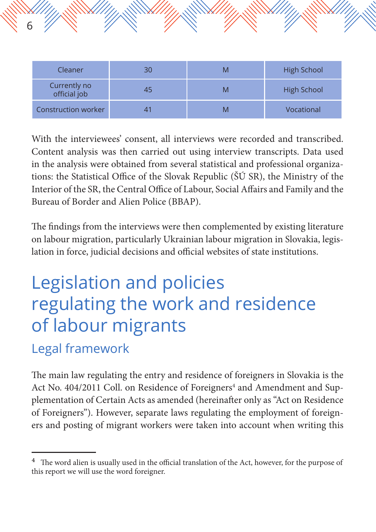| Cleaner                      | 30 | M | <b>High School</b> |
|------------------------------|----|---|--------------------|
| Currently no<br>official job | 45 | M | <b>High School</b> |
| Construction worker          |    |   | Vocational         |

With the interviewees' consent, all interviews were recorded and transcribed. Content analysis was then carried out using interview transcripts. Data used in the analysis were obtained from several statistical and professional organizations: the Statistical Office of the Slovak Republic (ŠÚ SR), the Ministry of the Interior of the SR, the Central Office of Labour, Social Affairs and Family and the Bureau of Border and Alien Police (BBAP).

The findings from the interviews were then complemented by existing literature on labour migration, particularly Ukrainian labour migration in Slovakia, legislation in force, judicial decisions and official websites of state institutions.

# Legislation and policies regulating the work and residence of labour migrants

#### Legal framework

6

The main law regulating the entry and residence of foreigners in Slovakia is the Act No. 404/2011 Coll. on Residence of Foreigners<sup>4</sup> and Amendment and Supplementation of Certain Acts as amended (hereinafter only as "Act on Residence of Foreigners"). However, separate laws regulating the employment of foreigners and posting of migrant workers were taken into account when writing this

<sup>4</sup> The word alien is usually used in the official translation of the Act, however, for the purpose of this report we will use the word foreigner.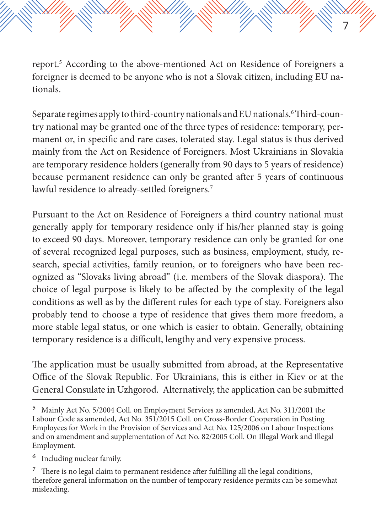report.5 According to the above-mentioned Act on Residence of Foreigners a foreigner is deemed to be anyone who is not a Slovak citizen, including EU nationals.

7

Separate regimes apply to third-country nationals and EU nationals.6 Third-country national may be granted one of the three types of residence: temporary, permanent or, in specific and rare cases, tolerated stay. Legal status is thus derived mainly from the Act on Residence of Foreigners. Most Ukrainians in Slovakia are temporary residence holders (generally from 90 days to 5 years of residence) because permanent residence can only be granted after 5 years of continuous lawful residence to already-settled foreigners.<sup>7</sup>

Pursuant to the Act on Residence of Foreigners a third country national must generally apply for temporary residence only if his/her planned stay is going to exceed 90 days. Moreover, temporary residence can only be granted for one of several recognized legal purposes, such as business, employment, study, research, special activities, family reunion, or to foreigners who have been recognized as "Slovaks living abroad" (i.e. members of the Slovak diaspora). The choice of legal purpose is likely to be affected by the complexity of the legal conditions as well as by the different rules for each type of stay. Foreigners also probably tend to choose a type of residence that gives them more freedom, a more stable legal status, or one which is easier to obtain. Generally, obtaining temporary residence is a difficult, lengthy and very expensive process.

The application must be usually submitted from abroad, at the Representative Office of the Slovak Republic. For Ukrainians, this is either in Kiev or at the General Consulate in Uzhgorod. Alternatively, the application can be submitted

<sup>5</sup> Mainly Act No. 5/2004 Coll. on Employment Services as amended, Act No. 311/2001 the Labour Code as amended, Act No. 351/2015 Coll. on Cross-Border Cooperation in Posting Employees for Work in the Provision of Services and Act No. 125/2006 on Labour Inspections and on amendment and supplementation of Act No. 82/2005 Coll. On Illegal Work and Illegal Employment.

<sup>6</sup> Including nuclear family.

<sup>7</sup> There is no legal claim to permanent residence after fulfilling all the legal conditions, therefore general information on the number of temporary residence permits can be somewhat misleading.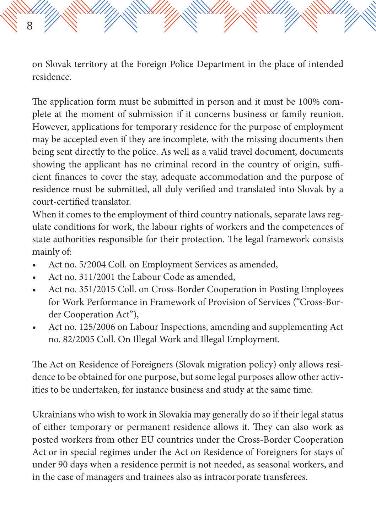on Slovak territory at the Foreign Police Department in the place of intended residence.

The application form must be submitted in person and it must be 100% complete at the moment of submission if it concerns business or family reunion. However, applications for temporary residence for the purpose of employment may be accepted even if they are incomplete, with the missing documents then being sent directly to the police. As well as a valid travel document, documents showing the applicant has no criminal record in the country of origin, sufficient finances to cover the stay, adequate accommodation and the purpose of residence must be submitted, all duly verified and translated into Slovak by a court-certified translator.

When it comes to the employment of third country nationals, separate laws regulate conditions for work, the labour rights of workers and the competences of state authorities responsible for their protection. The legal framework consists mainly of:

- Act no. 5/2004 Coll. on Employment Services as amended,
- Act no. 311/2001 the Labour Code as amended,

8

- Act no. 351/2015 Coll. on Cross-Border Cooperation in Posting Employees for Work Performance in Framework of Provision of Services ("Cross-Border Cooperation Act"),
- Act no. 125/2006 on Labour Inspections, amending and supplementing Act no. 82/2005 Coll. On Illegal Work and Illegal Employment.

The Act on Residence of Foreigners (Slovak migration policy) only allows residence to be obtained for one purpose, but some legal purposes allow other activities to be undertaken, for instance business and study at the same time.

Ukrainians who wish to work in Slovakia may generally do so if their legal status of either temporary or permanent residence allows it. They can also work as posted workers from other EU countries under the Cross-Border Cooperation Act or in special regimes under the Act on Residence of Foreigners for stays of under 90 days when a residence permit is not needed, as seasonal workers, and in the case of managers and trainees also as intracorporate transferees.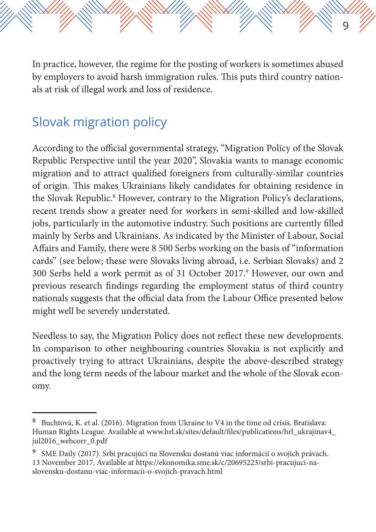In practice, however, the regime for the posting of workers is sometimes abused by employers to avoid harsh immigration rules. This puts third country nationals at risk of illegal work and loss of residence.

9

#### Slovak migration policy

According to the official governmental strategy, "Migration Policy of the Slovak Republic Perspective until the year 2020", Slovakia wants to manage economic migration and to attract qualified foreigners from culturally-similar countries of origin. This makes Ukrainians likely candidates for obtaining residence in the Slovak Republic.<sup>8</sup> However, contrary to the Migration Policy's declarations, recent trends show a greater need for workers in semi-skilled and low-skilled jobs, particularly in the automotive industry. Such positions are currently filled mainly by Serbs and Ukrainians. As indicated by the Minister of Labour, Social Affairs and Family, there were 8 500 Serbs working on the basis of "information cards" (see below; these were Slovaks living abroad, i.e. Serbian Slovaks) and 2 300 Serbs held a work permit as of 31 October 2017.<sup>9</sup> However, our own and previous research findings regarding the employment status of third country nationals suggests that the official data from the Labour Office presented below might well be severely understated.

Needless to say, the Migration Policy does not reflect these new developments. In comparison to other neighbouring countries Slovakia is not explicitly and proactively trying to attract Ukrainians, despite the above-described strategy and the long term needs of the labour market and the whole of the Slovak economy.

<sup>8</sup> Buchtová, K. et al. (2016). Migration from Ukraine to V4 in the time od crisis. Bratislava: Human Rights League. Available at www.hrl.sk/sites/default/files/publications/hrl\_ukrajinav4\_ jul2016\_webcorr\_0.pdf

<sup>9</sup> SME Daily (2017). Srbi pracujúci na Slovensku dostanú viac informácií o svojich právach. 13 November 2017. Available at https://ekonomika.sme.sk/c/20695223/srbi-pracujuci-naslovensku-dostanu-viac-informacii-o-svojich-pravach.html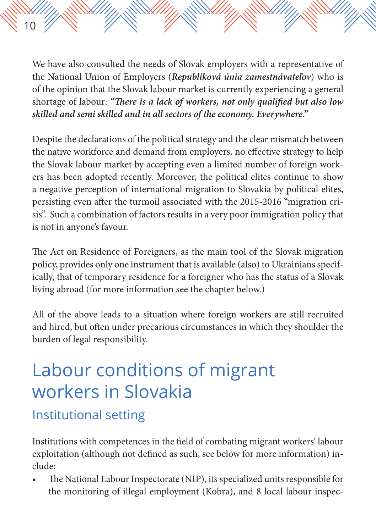We have also consulted the needs of Slovak employers with a representative of the National Union of Employers (*Republiková únia zamestnávateľov*) who is of the opinion that the Slovak labour market is currently experiencing a general shortage of labour: *"There is a lack of workers, not only qualified but also low skilled and semi skilled and in all sectors of the economy. Everywhere."*

Despite the declarations of the political strategy and the clear mismatch between the native workforce and demand from employers, no effective strategy to help the Slovak labour market by accepting even a limited number of foreign workers has been adopted recently. Moreover, the political elites continue to show a negative perception of international migration to Slovakia by political elites, persisting even after the turmoil associated with the 2015-2016 "migration crisis". Such a combination of factors results in a very poor immigration policy that is not in anyone's favour.

The Act on Residence of Foreigners, as the main tool of the Slovak migration policy, provides only one instrument that is available (also) to Ukrainians specifically, that of temporary residence for a foreigner who has the status of a Slovak living abroad (for more information see the chapter below.)

All of the above leads to a situation where foreign workers are still recruited and hired, but often under precarious circumstances in which they shoulder the burden of legal responsibility.

## Labour conditions of migrant workers in Slovakia

#### Institutional setting

10

Institutions with competences in the field of combating migrant workers' labour exploitation (although not defined as such, see below for more information) include:

• The National Labour Inspectorate (NIP), its specialized units responsible for the monitoring of illegal employment (Kobra), and 8 local labour inspec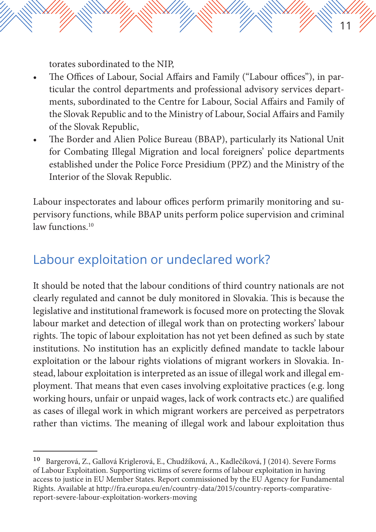torates subordinated to the NIP,

• The Offices of Labour, Social Affairs and Family ("Labour offices"), in particular the control departments and professional advisory services departments, subordinated to the Centre for Labour, Social Affairs and Family of the Slovak Republic and to the Ministry of Labour, Social Affairs and Family of the Slovak Republic,

11

• The Border and Alien Police Bureau (BBAP), particularly its National Unit for Combating Illegal Migration and local foreigners' police departments established under the Police Force Presidium (PPZ) and the Ministry of the Interior of the Slovak Republic.

Labour inspectorates and labour offices perform primarily monitoring and supervisory functions, while BBAP units perform police supervision and criminal law functions<sup>10</sup>

#### Labour exploitation or undeclared work?

It should be noted that the labour conditions of third country nationals are not clearly regulated and cannot be duly monitored in Slovakia. This is because the legislative and institutional framework is focused more on protecting the Slovak labour market and detection of illegal work than on protecting workers' labour rights. The topic of labour exploitation has not yet been defined as such by state institutions. No institution has an explicitly defined mandate to tackle labour exploitation or the labour rights violations of migrant workers in Slovakia. Instead, labour exploitation is interpreted as an issue of illegal work and illegal employment. That means that even cases involving exploitative practices (e.g. long working hours, unfair or unpaid wages, lack of work contracts etc.) are qualified as cases of illegal work in which migrant workers are perceived as perpetrators rather than victims. The meaning of illegal work and labour exploitation thus

<sup>10</sup> Bargerová, Z., Gallová Kriglerová, E., Chudžíková, A., Kadlečíková, J (2014). Severe Forms of Labour Exploitation. Supporting victims of severe forms of labour exploitation in having access to justice in EU Member States. Report commissioned by the EU Agency for Fundamental Rights. Available at http://fra.europa.eu/en/country-data/2015/country-reports-comparativereport-severe-labour-exploitation-workers-moving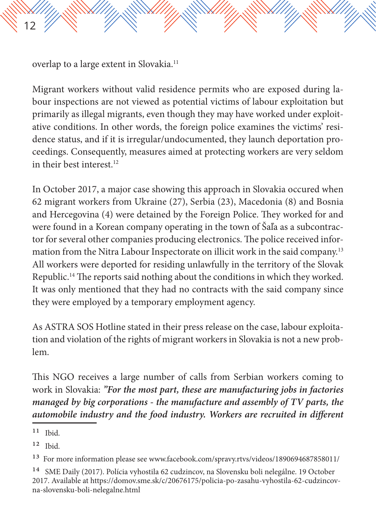12

Migrant workers without valid residence permits who are exposed during labour inspections are not viewed as potential victims of labour exploitation but primarily as illegal migrants, even though they may have worked under exploitative conditions. In other words, the foreign police examines the victims' residence status, and if it is irregular/undocumented, they launch deportation proceedings. Consequently, measures aimed at protecting workers are very seldom in their best interest.<sup>12</sup>

In October 2017, a major case showing this approach in Slovakia occured when 62 migrant workers from Ukraine (27), Serbia (23), Macedonia (8) and Bosnia and Hercegovina (4) were detained by the Foreign Police. They worked for and were found in a Korean company operating in the town of Šaľa as a subcontractor for several other companies producing electronics. The police received information from the Nitra Labour Inspectorate on illicit work in the said company.13 All workers were deported for residing unlawfully in the territory of the Slovak Republic.14 The reports said nothing about the conditions in which they worked. It was only mentioned that they had no contracts with the said company since they were employed by a temporary employment agency.

As ASTRA SOS Hotline stated in their press release on the case, labour exploitation and violation of the rights of migrant workers in Slovakia is not a new problem.

This NGO receives a large number of calls from Serbian workers coming to work in Slovakia: *"For the most part, these are manufacturing jobs in factories managed by big corporations - the manufacture and assembly of TV parts, the automobile industry and the food industry. Workers are recruited in different* 

 $11$  Ibid.

 $12$  Ibid.

<sup>13</sup> For more information please see www.facebook.com/spravy.rtvs/videos/1890694687858011/

<sup>14</sup> SME Daily (2017). Polícia vyhostila 62 cudzincov, na Slovensku boli nelegálne. 19 October 2017. Available at https://domov.sme.sk/c/20676175/policia-po-zasahu-vyhostila-62-cudzincovna-slovensku-boli-nelegalne.html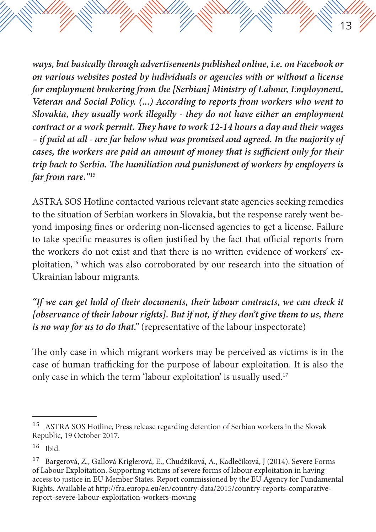*ways, but basically through advertisements published online, i.e. on Facebook or on various websites posted by individuals or agencies with or without a license for employment brokering from the [Serbian] Ministry of Labour, Employment, Veteran and Social Policy. (...) According to reports from workers who went to Slovakia, they usually work illegally - they do not have either an employment contract or a work permit. They have to work 12-14 hours a day and their wages – if paid at all - are far below what was promised and agreed. In the majority of cases, the workers are paid an amount of money that is sufficient only for their trip back to Serbia. The humiliation and punishment of workers by employers is far from rare."*<sup>15</sup>

13

ASTRA SOS Hotline contacted various relevant state agencies seeking remedies to the situation of Serbian workers in Slovakia, but the response rarely went beyond imposing fines or ordering non-licensed agencies to get a license. Failure to take specific measures is often justified by the fact that official reports from the workers do not exist and that there is no written evidence of workers' exploitation,16 which was also corroborated by our research into the situation of Ukrainian labour migrants.

*"If we can get hold of their documents, their labour contracts, we can check it [observance of their labour rights]. But if not, if they don't give them to us, there is no way for us to do that."* (representative of the labour inspectorate)

The only case in which migrant workers may be perceived as victims is in the case of human trafficking for the purpose of labour exploitation. It is also the only case in which the term 'labour exploitation' is usually used.<sup>17</sup>

<sup>15</sup> ASTRA SOS Hotline, Press release regarding detention of Serbian workers in the Slovak Republic, 19 October 2017.

<sup>16</sup> Ibid.

<sup>&</sup>lt;sup>17</sup> Bargerová, Z., Gallová Kriglerová, E., Chudžíková, A., Kadlečíková, J (2014). Severe Forms of Labour Exploitation. Supporting victims of severe forms of labour exploitation in having access to justice in EU Member States. Report commissioned by the EU Agency for Fundamental Rights. Available at http://fra.europa.eu/en/country-data/2015/country-reports-comparativereport-severe-labour-exploitation-workers-moving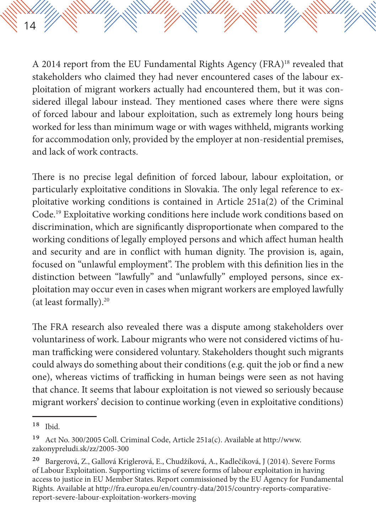A 2014 report from the EU Fundamental Rights Agency (FRA)18 revealed that stakeholders who claimed they had never encountered cases of the labour exploitation of migrant workers actually had encountered them, but it was considered illegal labour instead. They mentioned cases where there were signs of forced labour and labour exploitation, such as extremely long hours being worked for less than minimum wage or with wages withheld, migrants working for accommodation only, provided by the employer at non-residential premises, and lack of work contracts.

There is no precise legal definition of forced labour, labour exploitation, or particularly exploitative conditions in Slovakia. The only legal reference to exploitative working conditions is contained in Article 251a(2) of the Criminal Code.19 Exploitative working conditions here include work conditions based on discrimination, which are significantly disproportionate when compared to the working conditions of legally employed persons and which affect human health and security and are in conflict with human dignity. The provision is, again, focused on "unlawful employment". The problem with this definition lies in the distinction between "lawfully" and "unlawfully" employed persons, since exploitation may occur even in cases when migrant workers are employed lawfully (at least formally).20

The FRA research also revealed there was a dispute among stakeholders over voluntariness of work. Labour migrants who were not considered victims of human trafficking were considered voluntary. Stakeholders thought such migrants could always do something about their conditions (e.g. quit the job or find a new one), whereas victims of trafficking in human beings were seen as not having that chance. It seems that labour exploitation is not viewed so seriously because migrant workers' decision to continue working (even in exploitative conditions)

14

<sup>18</sup> Ibid.

<sup>19</sup> Act No. 300/2005 Coll. Criminal Code, Article 251a(c). Available at http://www. zakonypreludi.sk/zz/2005-300

<sup>&</sup>lt;sup>20</sup> Bargerová, Z., Gallová Kriglerová, E., Chudžíková, A., Kadlečíková, J (2014). Severe Forms of Labour Exploitation. Supporting victims of severe forms of labour exploitation in having access to justice in EU Member States. Report commissioned by the EU Agency for Fundamental Rights. Available at http://fra.europa.eu/en/country-data/2015/country-reports-comparativereport-severe-labour-exploitation-workers-moving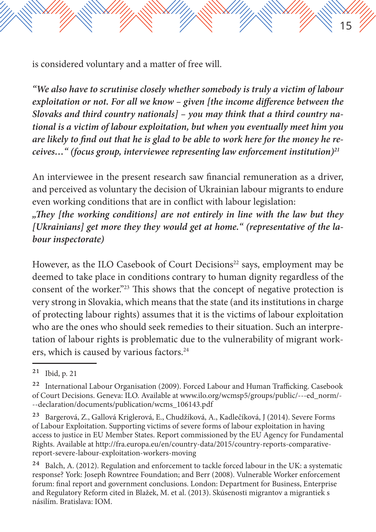is considered voluntary and a matter of free will.

*"We also have to scrutinise closely whether somebody is truly a victim of labour exploitation or not. For all we know – given [the income difference between the Slovaks and third country nationals] – you may think that a third country national is a victim of labour exploitation, but when you eventually meet him you are likely to find out that he is glad to be able to work here for the money he receives…" (focus group, interviewee representing law enforcement institution)21*

15

An interviewee in the present research saw financial remuneration as a driver, and perceived as voluntary the decision of Ukrainian labour migrants to endure even working conditions that are in conflict with labour legislation:

*"They [the working conditions] are not entirely in line with the law but they [Ukrainians] get more they they would get at home." (representative of the labour inspectorate)*

However, as the ILO Casebook of Court Decisions<sup>22</sup> says, employment may be deemed to take place in conditions contrary to human dignity regardless of the consent of the worker."23 This shows that the concept of negative protection is very strong in Slovakia, which means that the state (and its institutions in charge of protecting labour rights) assumes that it is the victims of labour exploitation who are the ones who should seek remedies to their situation. Such an interpretation of labour rights is problematic due to the vulnerability of migrant workers, which is caused by various factors.<sup>24</sup>

<sup>21</sup> Ibid, p. 21

<sup>22</sup> International Labour Organisation (2009). Forced Labour and Human Trafficking. Casebook of Court Decisions. Geneva: ILO. Available at www.ilo.org/wcmsp5/groups/public/---ed\_norm/- --declaration/documents/publication/wcms\_106143.pdf

<sup>&</sup>lt;sup>23</sup> Bargerová, Z., Gallová Kriglerová, E., Chudžíková, A., Kadlečíková, J (2014). Severe Forms of Labour Exploitation. Supporting victims of severe forms of labour exploitation in having access to justice in EU Member States. Report commissioned by the EU Agency for Fundamental Rights. Available at http://fra.europa.eu/en/country-data/2015/country-reports-comparativereport-severe-labour-exploitation-workers-moving

 $24$  Balch, A. (2012). Regulation and enforcement to tackle forced labour in the UK: a systematic response? York: Joseph Rowntree Foundation; and Berr (2008). Vulnerable Worker enforcement forum: final report and government conclusions. London: Department for Business, Enterprise and Regulatory Reform cited in Blažek, M. et al. (2013). Skúsenosti migrantov a migrantiek s násilím. Bratislava: IOM.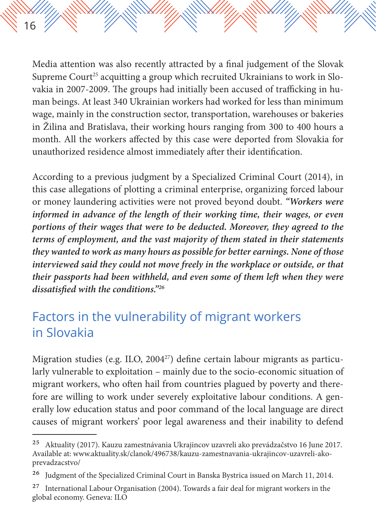Media attention was also recently attracted by a final judgement of the Slovak Supreme Court<sup>25</sup> acquitting a group which recruited Ukrainians to work in Slovakia in 2007-2009. The groups had initially been accused of trafficking in human beings. At least 340 Ukrainian workers had worked for less than minimum wage, mainly in the construction sector, transportation, warehouses or bakeries in Žilina and Bratislava, their working hours ranging from 300 to 400 hours a month. All the workers affected by this case were deported from Slovakia for unauthorized residence almost immediately after their identification.

16

According to a previous judgment by a Specialized Criminal Court (2014), in this case allegations of plotting a criminal enterprise, organizing forced labour or money laundering activities were not proved beyond doubt. *"Workers were informed in advance of the length of their working time, their wages, or even portions of their wages that were to be deducted. Moreover, they agreed to the terms of employment, and the vast majority of them stated in their statements they wanted to work as many hours as possible for better earnings. None of those interviewed said they could not move freely in the workplace or outside, or that their passports had been withheld, and even some of them left when they were dissatisfied with the conditions."26*

#### Factors in the vulnerability of migrant workers in Slovakia

Migration studies (e.g. ILO, 2004<sup>27</sup>) define certain labour migrants as particularly vulnerable to exploitation – mainly due to the socio-economic situation of migrant workers, who often hail from countries plagued by poverty and therefore are willing to work under severely exploitative labour conditions. A generally low education status and poor command of the local language are direct causes of migrant workers' poor legal awareness and their inability to defend

<sup>25</sup> Aktuality (2017). Kauzu zamestnávania Ukrajincov uzavreli ako prevádzačstvo 16 June 2017. Available at: www.aktuality.sk/clanok/496738/kauzu-zamestnavania-ukrajincov-uzavreli-akoprevadzacstvo/

<sup>&</sup>lt;sup>26</sup> Judgment of the Specialized Criminal Court in Banska Bystrica issued on March 11, 2014.

 $27$  International Labour Organisation (2004). Towards a fair deal for migrant workers in the global economy. Geneva: ILO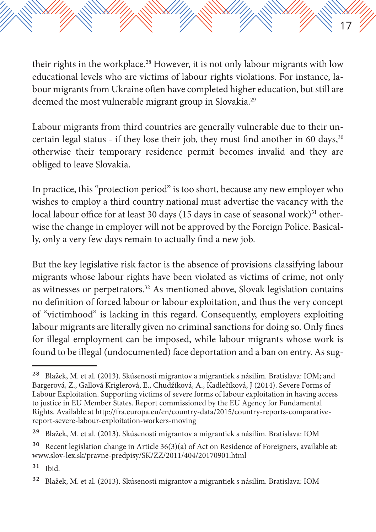their rights in the workplace.<sup>28</sup> However, it is not only labour migrants with low educational levels who are victims of labour rights violations. For instance, labour migrants from Ukraine often have completed higher education, but still are deemed the most vulnerable migrant group in Slovakia.<sup>29</sup>

17

Labour migrants from third countries are generally vulnerable due to their uncertain legal status - if they lose their job, they must find another in 60 days, $30$ otherwise their temporary residence permit becomes invalid and they are obliged to leave Slovakia.

In practice, this "protection period" is too short, because any new employer who wishes to employ a third country national must advertise the vacancy with the local labour office for at least 30 days (15 days in case of seasonal work) $31$  otherwise the change in employer will not be approved by the Foreign Police. Basically, only a very few days remain to actually find a new job.

But the key legislative risk factor is the absence of provisions classifying labour migrants whose labour rights have been violated as victims of crime, not only as witnesses or perpetrators.<sup>32</sup> As mentioned above, Slovak legislation contains no definition of forced labour or labour exploitation, and thus the very concept of "victimhood" is lacking in this regard. Consequently, employers exploiting labour migrants are literally given no criminal sanctions for doing so. Only fines for illegal employment can be imposed, while labour migrants whose work is found to be illegal (undocumented) face deportation and a ban on entry. As sug-

<sup>28</sup> Blažek, M. et al. (2013). Skúsenosti migrantov a migrantiek s násilím. Bratislava: IOM; and Bargerová, Z., Gallová Kriglerová, E., Chudžíková, A., Kadlečíková, J (2014). Severe Forms of Labour Exploitation. Supporting victims of severe forms of labour exploitation in having access to justice in EU Member States. Report commissioned by the EU Agency for Fundamental Rights. Available at http://fra.europa.eu/en/country-data/2015/country-reports-comparativereport-severe-labour-exploitation-workers-moving

<sup>29</sup> Blažek, M. et al. (2013). Skúsenosti migrantov a migrantiek s násilím. Bratislava: IOM

<sup>&</sup>lt;sup>30</sup> Recent legislation change in Article 36(3)(a) of Act on Residence of Foreigners, available at: www.slov-lex.sk/pravne-predpisy/SK/ZZ/2011/404/20170901.html

<sup>31</sup> Ibid.

<sup>32</sup> Blažek, M. et al. (2013). Skúsenosti migrantov a migrantiek s násilím. Bratislava: IOM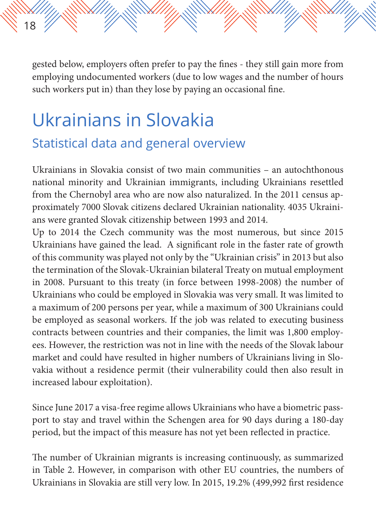gested below, employers often prefer to pay the fines - they still gain more from employing undocumented workers (due to low wages and the number of hours such workers put in) than they lose by paying an occasional fine.

### Ukrainians in Slovakia Statistical data and general overview

18

Ukrainians in Slovakia consist of two main communities – an autochthonous national minority and Ukrainian immigrants, including Ukrainians resettled from the Chernobyl area who are now also naturalized. In the 2011 census approximately 7000 Slovak citizens declared Ukrainian nationality. 4035 Ukrainians were granted Slovak citizenship between 1993 and 2014.

Up to 2014 the Czech community was the most numerous, but since 2015 Ukrainians have gained the lead. A significant role in the faster rate of growth of this community was played not only by the "Ukrainian crisis" in 2013 but also the termination of the Slovak-Ukrainian bilateral Treaty on mutual employment in 2008. Pursuant to this treaty (in force between 1998-2008) the number of Ukrainians who could be employed in Slovakia was very small. It was limited to a maximum of 200 persons per year, while a maximum of 300 Ukrainians could be employed as seasonal workers. If the job was related to executing business contracts between countries and their companies, the limit was 1,800 employees. However, the restriction was not in line with the needs of the Slovak labour market and could have resulted in higher numbers of Ukrainians living in Slovakia without a residence permit (their vulnerability could then also result in increased labour exploitation).

Since June 2017 a visa-free regime allows Ukrainians who have a biometric passport to stay and travel within the Schengen area for 90 days during a 180-day period, but the impact of this measure has not yet been reflected in practice.

The number of Ukrainian migrants is increasing continuously, as summarized in Table 2. However, in comparison with other EU countries, the numbers of Ukrainians in Slovakia are still very low. In 2015, 19.2% (499,992 first residence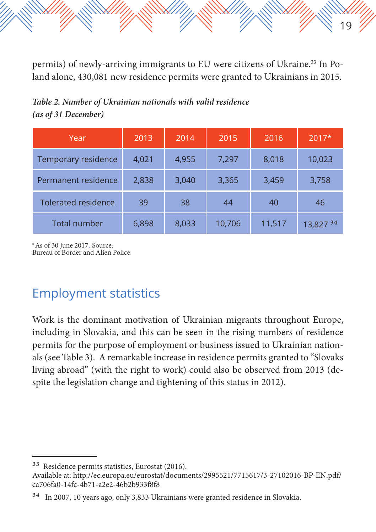permits) of newly-arriving immigrants to EU were citizens of Ukraine.<sup>33</sup> In Poland alone, 430,081 new residence permits were granted to Ukrainians in 2015.

19

*Table 2. Number of Ukrainian nationals with valid residence (as of 31 December)*

| Year                       | 2013  | 2014  | 2015   | 2016   | $2017*$   |
|----------------------------|-------|-------|--------|--------|-----------|
| Temporary residence        | 4,021 | 4,955 | 7,297  | 8,018  | 10,023    |
| Permanent residence        | 2,838 | 3,040 | 3,365  | 3,459  | 3,758     |
| <b>Tolerated residence</b> | 39    | 38    | 44     | 40     | 46        |
| Total number               | 6,898 | 8,033 | 10,706 | 11,517 | 13,827 34 |

\*As of 30 June 2017. Source: Bureau of Border and Alien Police

#### Employment statistics

Work is the dominant motivation of Ukrainian migrants throughout Europe, including in Slovakia, and this can be seen in the rising numbers of residence permits for the purpose of employment or business issued to Ukrainian nationals (see Table 3). A remarkable increase in residence permits granted to "Slovaks living abroad" (with the right to work) could also be observed from 2013 (despite the legislation change and tightening of this status in 2012).

<sup>33</sup> Residence permits statistics, Eurostat (2016). Available at: http://ec.europa.eu/eurostat/documents/2995521/7715617/3-27102016-BP-EN.pdf/ ca706fa0-14fc-4b71-a2e2-46b2b933f8f8

<sup>34</sup> In 2007, 10 years ago, only 3,833 Ukrainians were granted residence in Slovakia.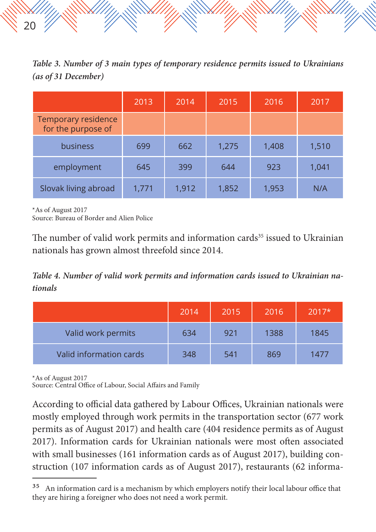*Table 3. Number of 3 main types of temporary residence permits issued to Ukrainians (as of 31 December)*

|                                           | 2013  | 2014  | 2015  | 2016  | 2017  |
|-------------------------------------------|-------|-------|-------|-------|-------|
| Temporary residence<br>for the purpose of |       |       |       |       |       |
| business                                  | 699   | 662   | 1,275 | 1,408 | 1,510 |
| employment                                | 645   | 399   | 644   | 923   | 1,041 |
| Slovak living abroad                      | 1,771 | 1,912 | 1,852 | 1,953 | N/A   |

\*As of August 2017

20

Source: Bureau of Border and Alien Police

The number of valid work permits and information cards<sup>35</sup> issued to Ukrainian nationals has grown almost threefold since 2014.

*Table 4. Number of valid work permits and information cards issued to Ukrainian nationals*

|                         | 2014 | 2015 | 2016 | $2017*$ |
|-------------------------|------|------|------|---------|
| Valid work permits      | 634  | 921  | 1388 | 1845    |
| Valid information cards | 348  | 541  | 869  | 1477    |

\*As of August 2017

Source: Central Office of Labour, Social Affairs and Family

According to official data gathered by Labour Offices, Ukrainian nationals were mostly employed through work permits in the transportation sector (677 work permits as of August 2017) and health care (404 residence permits as of August 2017). Information cards for Ukrainian nationals were most often associated with small businesses (161 information cards as of August 2017), building construction (107 information cards as of August 2017), restaurants (62 informa-

<sup>&</sup>lt;sup>35</sup> An information card is a mechanism by which employers notify their local labour office that they are hiring a foreigner who does not need a work permit.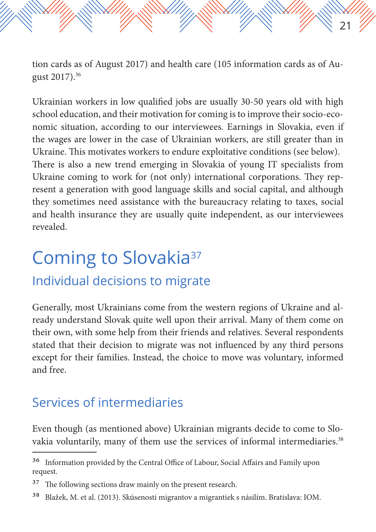tion cards as of August 2017) and health care (105 information cards as of August 2017).36

21

Ukrainian workers in low qualified jobs are usually 30-50 years old with high school education, and their motivation for coming is to improve their socio-economic situation, according to our interviewees. Earnings in Slovakia, even if the wages are lower in the case of Ukrainian workers, are still greater than in Ukraine. This motivates workers to endure exploitative conditions (see below). There is also a new trend emerging in Slovakia of young IT specialists from Ukraine coming to work for (not only) international corporations. They represent a generation with good language skills and social capital, and although they sometimes need assistance with the bureaucracy relating to taxes, social and health insurance they are usually quite independent, as our interviewees revealed.

### Coming to Slovakia37

#### Individual decisions to migrate

Generally, most Ukrainians come from the western regions of Ukraine and already understand Slovak quite well upon their arrival. Many of them come on their own, with some help from their friends and relatives. Several respondents stated that their decision to migrate was not influenced by any third persons except for their families. Instead, the choice to move was voluntary, informed and free.

#### Services of intermediaries

Even though (as mentioned above) Ukrainian migrants decide to come to Slovakia voluntarily, many of them use the services of informal intermediaries.<sup>38</sup>

<sup>36</sup> Information provided by the Central Office of Labour, Social Affairs and Family upon request.

<sup>&</sup>lt;sup>37</sup> The following sections draw mainly on the present research.

<sup>38</sup> Blažek, M. et al. (2013). Skúsenosti migrantov a migrantiek s násilím. Bratislava: IOM.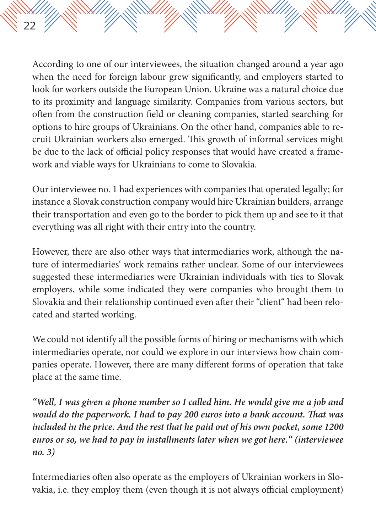According to one of our interviewees, the situation changed around a year ago when the need for foreign labour grew significantly, and employers started to look for workers outside the European Union. Ukraine was a natural choice due to its proximity and language similarity. Companies from various sectors, but often from the construction field or cleaning companies, started searching for options to hire groups of Ukrainians. On the other hand, companies able to recruit Ukrainian workers also emerged. This growth of informal services might be due to the lack of official policy responses that would have created a framework and viable ways for Ukrainians to come to Slovakia.

22

Our interviewee no. 1 had experiences with companies that operated legally; for instance a Slovak construction company would hire Ukrainian builders, arrange their transportation and even go to the border to pick them up and see to it that everything was all right with their entry into the country.

However, there are also other ways that intermediaries work, although the nature of intermediaries' work remains rather unclear. Some of our interviewees suggested these intermediaries were Ukrainian individuals with ties to Slovak employers, while some indicated they were companies who brought them to Slovakia and their relationship continued even after their "client" had been relocated and started working.

We could not identify all the possible forms of hiring or mechanisms with which intermediaries operate, nor could we explore in our interviews how chain companies operate. However, there are many different forms of operation that take place at the same time.

*"Well, I was given a phone number so I called him. He would give me a job and would do the paperwork. I had to pay 200 euros into a bank account. That was included in the price. And the rest that he paid out of his own pocket, some 1200 euros or so, we had to pay in installments later when we got here." (interviewee no. 3)*

Intermediaries often also operate as the employers of Ukrainian workers in Slovakia, i.e. they employ them (even though it is not always official employment)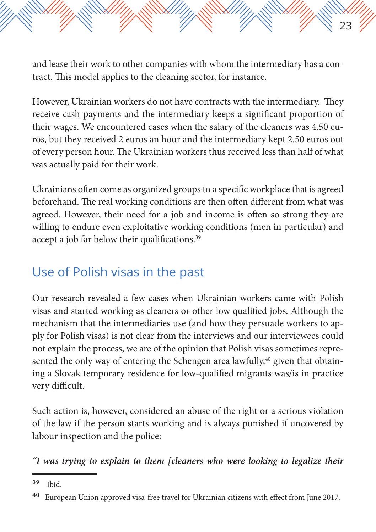and lease their work to other companies with whom the intermediary has a contract. This model applies to the cleaning sector, for instance.

23

However, Ukrainian workers do not have contracts with the intermediary. They receive cash payments and the intermediary keeps a significant proportion of their wages. We encountered cases when the salary of the cleaners was 4.50 euros, but they received 2 euros an hour and the intermediary kept 2.50 euros out of every person hour. The Ukrainian workers thus received less than half of what was actually paid for their work.

Ukrainians often come as organized groups to a specific workplace that is agreed beforehand. The real working conditions are then often different from what was agreed. However, their need for a job and income is often so strong they are willing to endure even exploitative working conditions (men in particular) and accept a job far below their qualifications.<sup>39</sup>

#### Use of Polish visas in the past

Our research revealed a few cases when Ukrainian workers came with Polish visas and started working as cleaners or other low qualified jobs. Although the mechanism that the intermediaries use (and how they persuade workers to apply for Polish visas) is not clear from the interviews and our interviewees could not explain the process, we are of the opinion that Polish visas sometimes represented the only way of entering the Schengen area lawfully, $40$  given that obtaining a Slovak temporary residence for low-qualified migrants was/is in practice very difficult.

Such action is, however, considered an abuse of the right or a serious violation of the law if the person starts working and is always punished if uncovered by labour inspection and the police:

*"I was trying to explain to them [cleaners who were looking to legalize their* 

<sup>39</sup> Ibid.

<sup>&</sup>lt;sup>40</sup> European Union approved visa-free travel for Ukrainian citizens with effect from June 2017.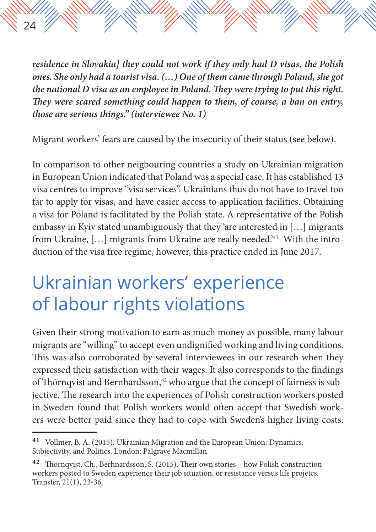*residence in Slovakia] they could not work if they only had D visas, the Polish ones. She only had a tourist visa. (…) One of them came through Poland, she got the national D visa as an employee in Poland. They were trying to put this right. They were scared something could happen to them, of course, a ban on entry, those are serious things." (interviewee No. 1)*

24

Migrant workers' fears are caused by the insecurity of their status (see below).

In comparison to other neigbouring countries a study on Ukrainian migration in European Union indicated that Poland was a special case. It has established 13 visa centres to improve "visa services". Ukrainians thus do not have to travel too far to apply for visas, and have easier access to application facilities. Obtaining a visa for Poland is facilitated by the Polish state. A representative of the Polish embassy in Kyiv stated unambiguously that they 'are interested in […] migrants from Ukraine, [...] migrants from Ukraine are really needed.<sup>'41</sup> With the introduction of the visa free regime, however, this practice ended in June 2017.

### Ukrainian workers' experience of labour rights violations

Given their strong motivation to earn as much money as possible, many labour migrants are "willing" to accept even undignified working and living conditions. This was also corroborated by several interviewees in our research when they expressed their satisfaction with their wages. It also corresponds to the findings of Thörnqvist and Bernhardsson, $42$  who argue that the concept of fairness is subjective. The research into the experiences of Polish construction workers posted in Sweden found that Polish workers would often accept that Swedish workers were better paid since they had to cope with Sweden's higher living costs.

<sup>41</sup> Vollmer, B. A. (2015). Ukrainian Migration and the European Union: Dynamics, Subjectivity, and Politics. London: Palgrave Macmillan.

<sup>&</sup>lt;sup>42</sup> Thörnqvist, Ch., Berhnardsson, S. (2015). Their own stories - how Polish construction workers posted to Sweden experience their job situation, or resistance versus life projetcs. Transfer, 21(1), 23-36.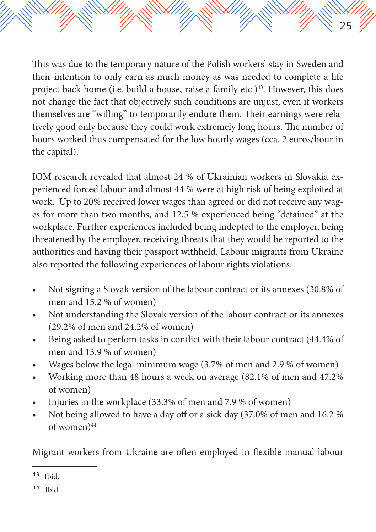This was due to the temporary nature of the Polish workers' stay in Sweden and their intention to only earn as much money as was needed to complete a life project back home (i.e. build a house, raise a family etc.)<sup>43</sup>. However, this does not change the fact that objectively such conditions are unjust, even if workers themselves are "willing" to temporarily endure them. Their earnings were relatively good only because they could work extremely long hours. The number of hours worked thus compensated for the low hourly wages (cca. 2 euros/hour in the capital).

25

IOM research revealed that almost 24 % of Ukrainian workers in Slovakia experienced forced labour and almost 44 % were at high risk of being exploited at work. Up to 20% received lower wages than agreed or did not receive any wages for more than two months, and 12.5 % experienced being "detained" at the workplace. Further experiences included being indepted to the employer, being threatened by the employer, receiving threats that they would be reported to the authorities and having their passport withheld. Labour migrants from Ukraine also reported the following experiences of labour rights violations:

- Not signing a Slovak version of the labour contract or its annexes (30.8% of men and 15.2 % of women)
- Not understanding the Slovak version of the labour contract or its annexes (29.2% of men and 24.2% of women)
- Being asked to perfom tasks in conflict with their labour contract (44.4% of men and 13.9 % of women)
- Wages below the legal minimum wage (3.7% of men and 2.9 % of women)
- Working more than 48 hours a week on average (82.1% of men and 47.2% of women)
- Injuries in the workplace (33.3% of men and 7.9 % of women)
- Not being allowed to have a day off or a sick day (37.0% of men and 16.2 % of women)<sup>44</sup>

Migrant workers from Ukraine are often employed in flexible manual labour

<sup>43</sup> Ibid.

<sup>44</sup> Ibid.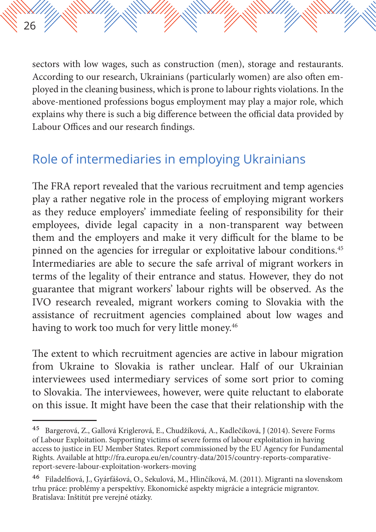sectors with low wages, such as construction (men), storage and restaurants. According to our research, Ukrainians (particularly women) are also often employed in the cleaning business, which is prone to labour rights violations. In the above-mentioned professions bogus employment may play a major role, which explains why there is such a big difference between the official data provided by Labour Offices and our research findings.

#### Role of intermediaries in employing Ukrainians

26

The FRA report revealed that the various recruitment and temp agencies play a rather negative role in the process of employing migrant workers as they reduce employers' immediate feeling of responsibility for their employees, divide legal capacity in a non-transparent way between them and the employers and make it very difficult for the blame to be pinned on the agencies for irregular or exploitative labour conditions.45 Intermediaries are able to secure the safe arrival of migrant workers in terms of the legality of their entrance and status. However, they do not guarantee that migrant workers' labour rights will be observed. As the IVO research revealed, migrant workers coming to Slovakia with the assistance of recruitment agencies complained about low wages and having to work too much for very little money.<sup>46</sup>

The extent to which recruitment agencies are active in labour migration from Ukraine to Slovakia is rather unclear. Half of our Ukrainian interviewees used intermediary services of some sort prior to coming to Slovakia. The interviewees, however, were quite reluctant to elaborate on this issue. It might have been the case that their relationship with the

<sup>45</sup> Bargerová, Z., Gallová Kriglerová, E., Chudžíková, A., Kadlečíková, J (2014). Severe Forms of Labour Exploitation. Supporting victims of severe forms of labour exploitation in having access to justice in EU Member States. Report commissioned by the EU Agency for Fundamental Rights. Available at http://fra.europa.eu/en/country-data/2015/country-reports-comparativereport-severe-labour-exploitation-workers-moving

<sup>46</sup> Filadelfiová, J., Gyárfášová, O., Sekulová, M., Hlinčíková, M. (2011). Migranti na slovenskom trhu práce: problémy a perspektívy. Ekonomické aspekty migrácie a integrácie migrantov. Bratislava: Inštitút pre verejné otázky.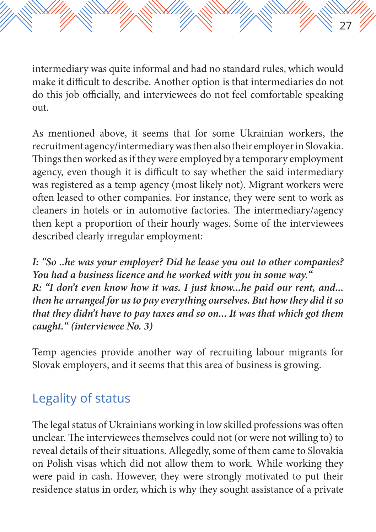intermediary was quite informal and had no standard rules, which would make it difficult to describe. Another option is that intermediaries do not do this job officially, and interviewees do not feel comfortable speaking out.

27

As mentioned above, it seems that for some Ukrainian workers, the recruitment agency/intermediary was then also their employer in Slovakia. Things then worked as if they were employed by a temporary employment agency, even though it is difficult to say whether the said intermediary was registered as a temp agency (most likely not). Migrant workers were often leased to other companies. For instance, they were sent to work as cleaners in hotels or in automotive factories. The intermediary/agency then kept a proportion of their hourly wages. Some of the interviewees described clearly irregular employment:

*I: "So ..he was your employer? Did he lease you out to other companies? You had a business licence and he worked with you in some way." R: "I don't even know how it was. I just know...he paid our rent, and... then he arranged for us to pay everything ourselves. But how they did it so that they didn't have to pay taxes and so on... It was that which got them caught." (interviewee No. 3)*

Temp agencies provide another way of recruiting labour migrants for Slovak employers, and it seems that this area of business is growing.

#### Legality of status

The legal status of Ukrainians working in low skilled professions was often unclear. The interviewees themselves could not (or were not willing to) to reveal details of their situations. Allegedly, some of them came to Slovakia on Polish visas which did not allow them to work. While working they were paid in cash. However, they were strongly motivated to put their residence status in order, which is why they sought assistance of a private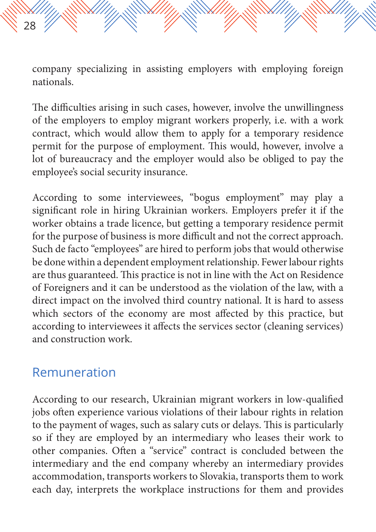The difficulties arising in such cases, however, involve the unwillingness of the employers to employ migrant workers properly, i.e. with a work contract, which would allow them to apply for a temporary residence permit for the purpose of employment. This would, however, involve a lot of bureaucracy and the employer would also be obliged to pay the employee's social security insurance.

According to some interviewees, "bogus employment" may play a significant role in hiring Ukrainian workers. Employers prefer it if the worker obtains a trade licence, but getting a temporary residence permit for the purpose of business is more difficult and not the correct approach. Such de facto "employees" are hired to perform jobs that would otherwise be done within a dependent employment relationship. Fewer labour rights are thus guaranteed. This practice is not in line with the Act on Residence of Foreigners and it can be understood as the violation of the law, with a direct impact on the involved third country national. It is hard to assess which sectors of the economy are most affected by this practice, but according to interviewees it affects the services sector (cleaning services) and construction work.

#### Remuneration

28

According to our research, Ukrainian migrant workers in low-qualified jobs often experience various violations of their labour rights in relation to the payment of wages, such as salary cuts or delays. This is particularly so if they are employed by an intermediary who leases their work to other companies. Often a "service" contract is concluded between the intermediary and the end company whereby an intermediary provides accommodation, transports workers to Slovakia, transports them to work each day, interprets the workplace instructions for them and provides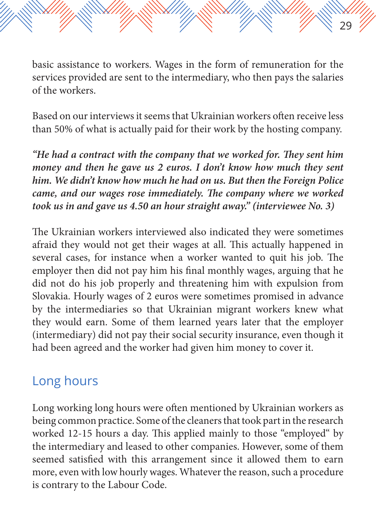basic assistance to workers. Wages in the form of remuneration for the services provided are sent to the intermediary, who then pays the salaries of the workers.

29

Based on our interviews it seems that Ukrainian workers often receive less than 50% of what is actually paid for their work by the hosting company.

*"He had a contract with the company that we worked for. They sent him money and then he gave us 2 euros. I don't know how much they sent him. We didn't know how much he had on us. But then the Foreign Police came, and our wages rose immediately. The company where we worked took us in and gave us 4.50 an hour straight away." (interviewee No. 3)*

The Ukrainian workers interviewed also indicated they were sometimes afraid they would not get their wages at all. This actually happened in several cases, for instance when a worker wanted to quit his job. The employer then did not pay him his final monthly wages, arguing that he did not do his job properly and threatening him with expulsion from Slovakia. Hourly wages of 2 euros were sometimes promised in advance by the intermediaries so that Ukrainian migrant workers knew what they would earn. Some of them learned years later that the employer (intermediary) did not pay their social security insurance, even though it had been agreed and the worker had given him money to cover it.

#### Long hours

Long working long hours were often mentioned by Ukrainian workers as being common practice. Some of the cleaners that took part in the research worked 12-15 hours a day. This applied mainly to those "employed" by the intermediary and leased to other companies. However, some of them seemed satisfied with this arrangement since it allowed them to earn more, even with low hourly wages. Whatever the reason, such a procedure is contrary to the Labour Code.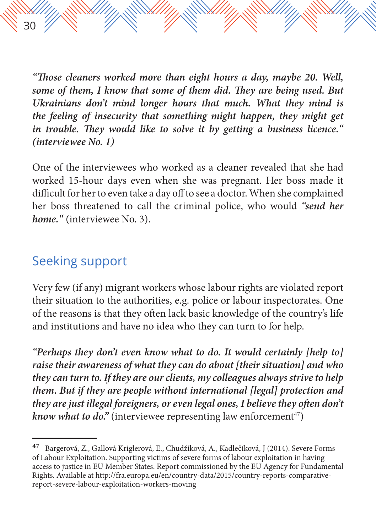*"Those cleaners worked more than eight hours a day, maybe 20. Well, some of them, I know that some of them did. They are being used. But Ukrainians don't mind longer hours that much. What they mind is the feeling of insecurity that something might happen, they might get in trouble. They would like to solve it by getting a business licence." (interviewee No. 1)*

One of the interviewees who worked as a cleaner revealed that she had worked 15-hour days even when she was pregnant. Her boss made it difficult for her to even take a day off to see a doctor. When she complained her boss threatened to call the criminal police, who would *"send her home."* (interviewee No. 3).

#### Seeking support

30

Very few (if any) migrant workers whose labour rights are violated report their situation to the authorities, e.g. police or labour inspectorates. One of the reasons is that they often lack basic knowledge of the country's life and institutions and have no idea who they can turn to for help.

*"Perhaps they don't even know what to do. It would certainly [help to] raise their awareness of what they can do about [their situation] and who they can turn to. If they are our clients, my colleagues always strive to help them. But if they are people without international [legal] protection and they are just illegal foreigners, or even legal ones, I believe they often don't know what to do.*" (interviewee representing law enforcement<sup>47</sup>)

<sup>47</sup> Bargerová, Z., Gallová Kriglerová, E., Chudžíková, A., Kadlečíková, J (2014). Severe Forms of Labour Exploitation. Supporting victims of severe forms of labour exploitation in having access to justice in EU Member States. Report commissioned by the EU Agency for Fundamental Rights. Available at http://fra.europa.eu/en/country-data/2015/country-reports-comparativereport-severe-labour-exploitation-workers-moving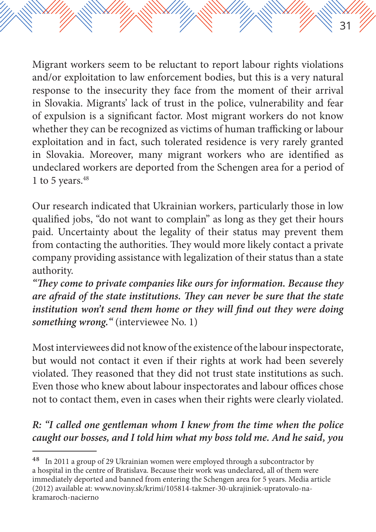Migrant workers seem to be reluctant to report labour rights violations and/or exploitation to law enforcement bodies, but this is a very natural response to the insecurity they face from the moment of their arrival in Slovakia. Migrants' lack of trust in the police, vulnerability and fear of expulsion is a significant factor. Most migrant workers do not know whether they can be recognized as victims of human trafficking or labour exploitation and in fact, such tolerated residence is very rarely granted in Slovakia. Moreover, many migrant workers who are identified as undeclared workers are deported from the Schengen area for a period of 1 to 5 years. $48$ 

31

Our research indicated that Ukrainian workers, particularly those in low qualified jobs, "do not want to complain" as long as they get their hours paid. Uncertainty about the legality of their status may prevent them from contacting the authorities. They would more likely contact a private company providing assistance with legalization of their status than a state authority.

*"They come to private companies like ours for information. Because they are afraid of the state institutions. They can never be sure that the state institution won't send them home or they will find out they were doing something wrong."* (interviewee No. 1)

Most interviewees did not know of the existence of the labour inspectorate, but would not contact it even if their rights at work had been severely violated. They reasoned that they did not trust state institutions as such. Even those who knew about labour inspectorates and labour offices chose not to contact them, even in cases when their rights were clearly violated.

#### *R: "I called one gentleman whom I knew from the time when the police caught our bosses, and I told him what my boss told me. And he said' you*

<sup>&</sup>lt;sup>48</sup> In 2011 a group of 29 Ukrainian women were employed through a subcontractor by a hospital in the centre of Bratislava. Because their work was undeclared, all of them were immediately deported and banned from entering the Schengen area for 5 years. Media article (2012) available at: www.noviny.sk/krimi/105814-takmer-30-ukrajiniek-upratovalo-nakramaroch-nacierno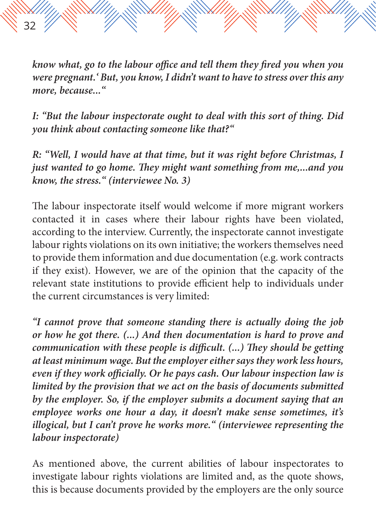*know what, go to the labour office and tell them they fired you when you were pregnant.' But, you know, I didn't want to have to stress over this any more, because..."* 

32

*I: "But the labour inspectorate ought to deal with this sort of thing. Did you think about contacting someone like that?"*

*R: "Well, I would have at that time, but it was right before Christmas, I just wanted to go home. They might want something from me,...and you know, the stress." (interviewee No. 3)*

The labour inspectorate itself would welcome if more migrant workers contacted it in cases where their labour rights have been violated, according to the interview. Currently, the inspectorate cannot investigate labour rights violations on its own initiative; the workers themselves need to provide them information and due documentation (e.g. work contracts if they exist). However, we are of the opinion that the capacity of the relevant state institutions to provide efficient help to individuals under the current circumstances is very limited:

*"I cannot prove that someone standing there is actually doing the job or how he got there. (...) And then documentation is hard to prove and communication with these people is difficult. (...) They should be getting at least minimum wage. But the employer either says they work less hours, even if they work officially. Or he pays cash. Our labour inspection law is limited by the provision that we act on the basis of documents submitted by the employer. So, if the employer submits a document saying that an employee works one hour a day, it doesn't make sense sometimes, it's illogical, but I can't prove he works more." (interviewee representing the labour inspectorate)*

As mentioned above, the current abilities of labour inspectorates to investigate labour rights violations are limited and, as the quote shows, this is because documents provided by the employers are the only source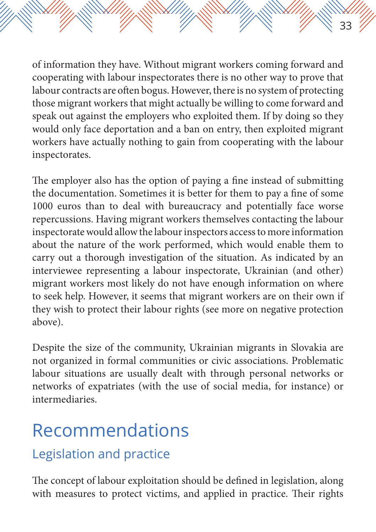of information they have. Without migrant workers coming forward and cooperating with labour inspectorates there is no other way to prove that labour contracts are often bogus. However, there is no system of protecting those migrant workers that might actually be willing to come forward and speak out against the employers who exploited them. If by doing so they would only face deportation and a ban on entry, then exploited migrant workers have actually nothing to gain from cooperating with the labour inspectorates.

33

The employer also has the option of paying a fine instead of submitting the documentation. Sometimes it is better for them to pay a fine of some 1000 euros than to deal with bureaucracy and potentially face worse repercussions. Having migrant workers themselves contacting the labour inspectorate would allow the labour inspectors access to more information about the nature of the work performed, which would enable them to carry out a thorough investigation of the situation. As indicated by an interviewee representing a labour inspectorate, Ukrainian (and other) migrant workers most likely do not have enough information on where to seek help. However, it seems that migrant workers are on their own if they wish to protect their labour rights (see more on negative protection above).

Despite the size of the community, Ukrainian migrants in Slovakia are not organized in formal communities or civic associations. Problematic labour situations are usually dealt with through personal networks or networks of expatriates (with the use of social media, for instance) or intermediaries.

# Recommendations

#### Legislation and practice

The concept of labour exploitation should be defined in legislation, along with measures to protect victims, and applied in practice. Their rights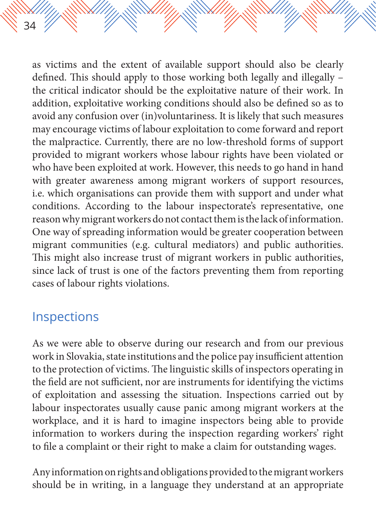as victims and the extent of available support should also be clearly defined. This should apply to those working both legally and illegally – the critical indicator should be the exploitative nature of their work. In addition, exploitative working conditions should also be defined so as to avoid any confusion over (in)voluntariness. It is likely that such measures may encourage victims of labour exploitation to come forward and report the malpractice. Currently, there are no low-threshold forms of support provided to migrant workers whose labour rights have been violated or who have been exploited at work. However, this needs to go hand in hand with greater awareness among migrant workers of support resources, i.e. which organisations can provide them with support and under what conditions. According to the labour inspectorate's representative, one reason why migrant workers do not contact them is the lack of information. One way of spreading information would be greater cooperation between migrant communities (e.g. cultural mediators) and public authorities. This might also increase trust of migrant workers in public authorities, since lack of trust is one of the factors preventing them from reporting cases of labour rights violations.

#### Inspections

34

As we were able to observe during our research and from our previous work in Slovakia, state institutions and the police pay insufficient attention to the protection of victims. The linguistic skills of inspectors operating in the field are not sufficient, nor are instruments for identifying the victims of exploitation and assessing the situation. Inspections carried out by labour inspectorates usually cause panic among migrant workers at the workplace, and it is hard to imagine inspectors being able to provide information to workers during the inspection regarding workers' right to file a complaint or their right to make a claim for outstanding wages.

Any information on rights and obligations provided to the migrant workers should be in writing, in a language they understand at an appropriate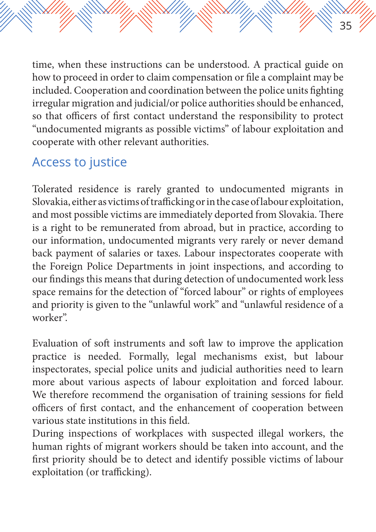time, when these instructions can be understood. A practical guide on how to proceed in order to claim compensation or file a complaint may be included. Cooperation and coordination between the police units fighting irregular migration and judicial/or police authorities should be enhanced, so that officers of first contact understand the responsibility to protect "undocumented migrants as possible victims" of labour exploitation and cooperate with other relevant authorities.

35

#### Access to justice

Tolerated residence is rarely granted to undocumented migrants in Slovakia, either as victims of trafficking or in the case of labour exploitation, and most possible victims are immediately deported from Slovakia. There is a right to be remunerated from abroad, but in practice, according to our information, undocumented migrants very rarely or never demand back payment of salaries or taxes. Labour inspectorates cooperate with the Foreign Police Departments in joint inspections, and according to our findings this means that during detection of undocumented work less space remains for the detection of "forced labour" or rights of employees and priority is given to the "unlawful work" and "unlawful residence of a worker".

Evaluation of soft instruments and soft law to improve the application practice is needed. Formally, legal mechanisms exist, but labour inspectorates, special police units and judicial authorities need to learn more about various aspects of labour exploitation and forced labour. We therefore recommend the organisation of training sessions for field officers of first contact, and the enhancement of cooperation between various state institutions in this field.

During inspections of workplaces with suspected illegal workers, the human rights of migrant workers should be taken into account, and the first priority should be to detect and identify possible victims of labour exploitation (or trafficking).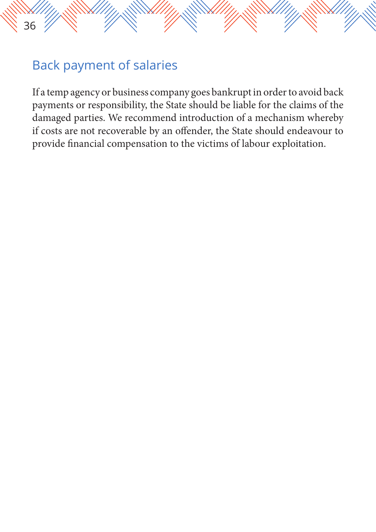#### Back payment of salaries

If a temp agency or business company goes bankrupt in order to avoid back payments or responsibility, the State should be liable for the claims of the damaged parties. We recommend introduction of a mechanism whereby if costs are not recoverable by an offender, the State should endeavour to provide financial compensation to the victims of labour exploitation.